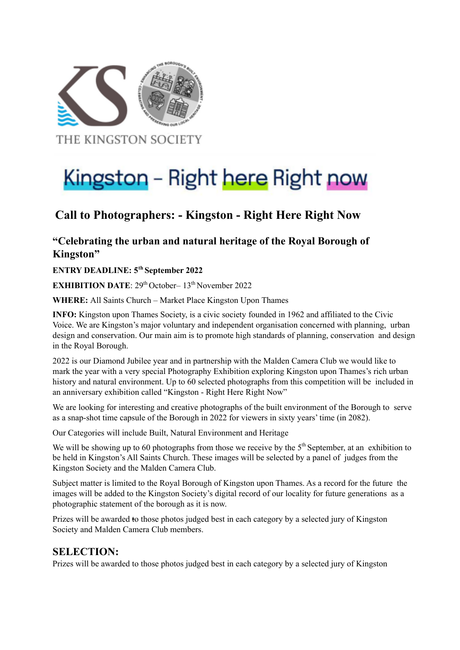

# Kingston - Right here Right now

## **Call to Photographers: - Kingston - Right Here Right Now**

#### **"Celebrating the urban and natural heritage of the Royal Borough of Kingston"**

**ENTRY DEADLINE: 5 th September 2022**

**EXHIBITION DATE**: 29<sup>th</sup> October–13<sup>th</sup> November 2022

**WHERE:** All Saints Church – Market Place Kingston Upon Thames

**INFO:** Kingston upon Thames Society, is a civic society founded in 1962 and affiliated to the Civic Voice. We are Kingston's major voluntary and independent organisation concerned with planning, urban design and conservation. Our main aim is to promote high standards of planning, conservation and design in the Royal Borough.

2022 is our Diamond Jubilee year and in partnership with the Malden Camera Club we would like to mark the year with a very special Photography Exhibition exploring Kingston upon Thames's rich urban history and natural environment. Up to 60 selected photographs from this competition will be included in an anniversary exhibition called "Kingston - Right Here Right Now"

We are looking for interesting and creative photographs of the built environment of the Borough to serve as a snap-shot time capsule of the Borough in 2022 for viewers in sixty years' time (in 2082).

Our Categories will include Built, Natural Environment and Heritage

We will be showing up to 60 photographs from those we receive by the  $5<sup>th</sup>$  September, at an exhibition to be held in Kingston's All Saints Church. These images will be selected by a panel of judges from the Kingston Society and the Malden Camera Club.

Subject matter is limited to the Royal Borough of Kingston upon Thames. As a record for the future the images will be added to the Kingston Society's digital record of our locality for future generations as a photographic statement of the borough as it is now.

Prizes will be awarded to those photos judged best in each category by a selected jury of Kingston Society and Malden Camera Club members.

#### **SELECTION:**

Prizes will be awarded to those photos judged best in each category by a selected jury of Kingston